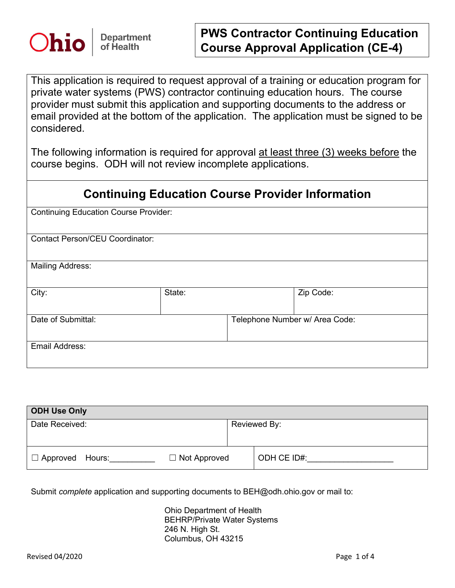

## **PWS Contractor Continuing Education Course Approval Application (CE-4)**

This application is required to request approval of a training or education program for private water systems (PWS) contractor continuing education hours. The course provider must submit this application and supporting documents to the address or email provided at the bottom of the application. The application must be signed to be considered.

The following information is required for approval at least three (3) weeks before the course begins. ODH will not review incomplete applications.

## **Continuing Education Course Provider Information**

Continuing Education Course Provider:

Contact Person/CEU Coordinator:

Mailing Address:

| City:              | State: |                                | Zip Code: |
|--------------------|--------|--------------------------------|-----------|
|                    |        |                                |           |
|                    |        |                                |           |
| Date of Submittal: |        | Telephone Number w/ Area Code: |           |
|                    |        |                                |           |
|                    |        |                                |           |
| Email Address:     |        |                                |           |
|                    |        |                                |           |
|                    |        |                                |           |

| <b>ODH Use Only</b>    |                     |              |             |  |  |  |
|------------------------|---------------------|--------------|-------------|--|--|--|
| Date Received:         |                     | Reviewed By: |             |  |  |  |
|                        |                     |              |             |  |  |  |
| $\Box$ Approved Hours: | $\Box$ Not Approved |              | ODH CE ID#: |  |  |  |

Submit *complete* application and supporting documents to BEH@odh.ohio.gov or mail to:

Ohio Department of Health BEHRP/Private Water Systems 246 N. High St. Columbus, OH 43215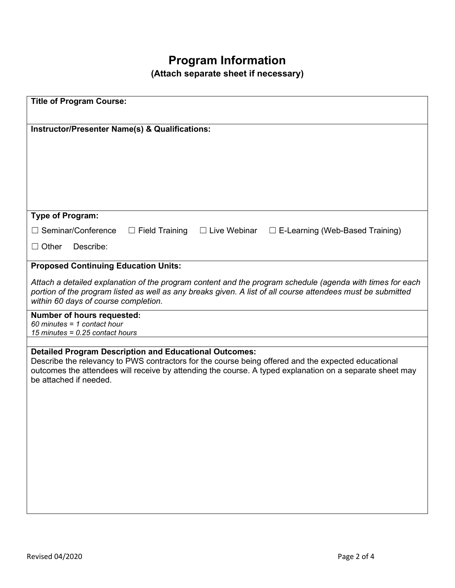## **Program Information**

**(Attach separate sheet if necessary)**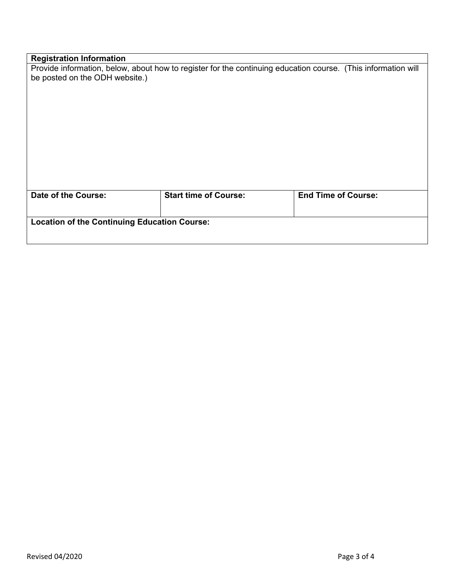| <b>Registration Information</b>                                                                               |                              |                            |  |  |  |
|---------------------------------------------------------------------------------------------------------------|------------------------------|----------------------------|--|--|--|
| Provide information, below, about how to register for the continuing education course. (This information will |                              |                            |  |  |  |
| be posted on the ODH website.)                                                                                |                              |                            |  |  |  |
|                                                                                                               |                              |                            |  |  |  |
|                                                                                                               |                              |                            |  |  |  |
|                                                                                                               |                              |                            |  |  |  |
|                                                                                                               |                              |                            |  |  |  |
|                                                                                                               |                              |                            |  |  |  |
|                                                                                                               |                              |                            |  |  |  |
|                                                                                                               |                              |                            |  |  |  |
|                                                                                                               |                              |                            |  |  |  |
|                                                                                                               |                              |                            |  |  |  |
|                                                                                                               |                              |                            |  |  |  |
|                                                                                                               |                              |                            |  |  |  |
| <b>Date of the Course:</b>                                                                                    | <b>Start time of Course:</b> | <b>End Time of Course:</b> |  |  |  |
|                                                                                                               |                              |                            |  |  |  |
|                                                                                                               |                              |                            |  |  |  |
| <b>Location of the Continuing Education Course:</b>                                                           |                              |                            |  |  |  |
|                                                                                                               |                              |                            |  |  |  |
|                                                                                                               |                              |                            |  |  |  |